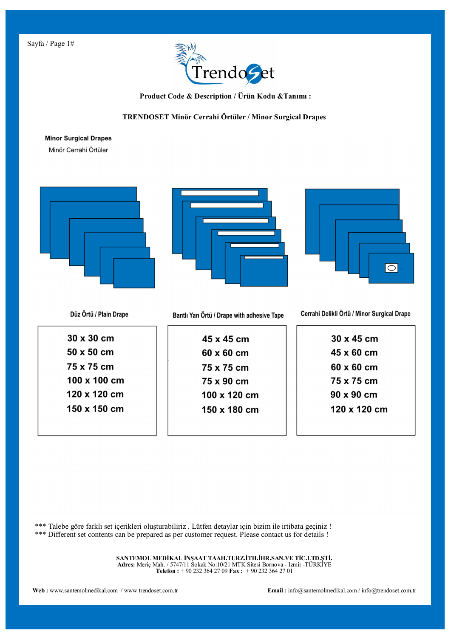

 **Product Code & Description / Ürün Kodu &Tanımı :**

## **TRENDOSET Minör Cerrahi Örtüler / Minor Surgical Drapes**

## **Minor Surgical Drapes**

Minör Cerrahi Örtüler



\*\*\* Talebe göre farklı set içerikleri oluşturabiliriz . Lütfen detaylar için bizim ile irtibata geçiniz ! \*\*\* Different set contents can be prepared as per customer request. Please contact us for details !

> **SANTEMOL MEDİKAL İNŞAAT TAAH.TURZ.İTH.İHR.SAN.VE TİC.LTD.ŞTİ. Adres:** Meriç Mah. / 5747/11 Sokak No:10/21 MTK Sitesi Bornova - Izmir -TÜRKİYE **Telefon :** + 90 232 364 27 09 **Fax :** + 90 232 364 27 01